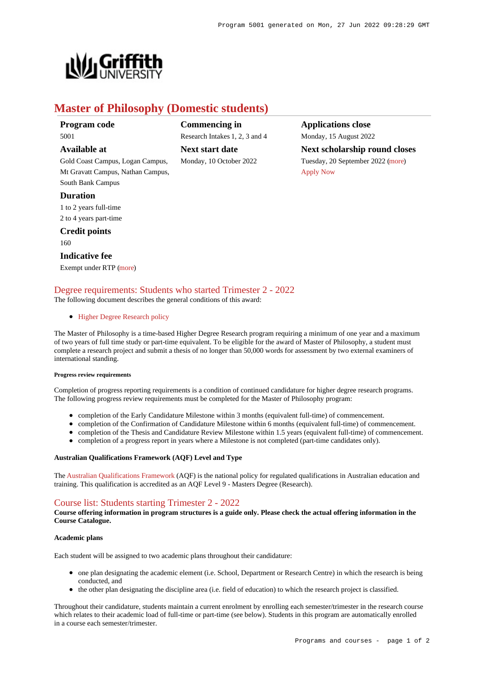

# **Master of Philosophy (Domestic students)**

**Program code** 5001

# **Available at**

Gold Coast Campus, Logan Campus, Mt Gravatt Campus, Nathan Campus, South Bank Campus

#### **Duration**

1 to 2 years full-time 2 to 4 years part-time

**Credit points**

160

## **Indicative fee**

Exempt under RTP [\(more](https://www148.griffith.edu.au/programs-courses/Program/5001/Overview/Domestic#fees))

# **Commencing in** Research Intakes 1, 2, 3 and 4 **Next start date** Monday, 10 October 2022

**Applications close** Monday, 15 August 2022 **Next scholarship round closes** Tuesday, 20 September 2022 [\(more](https://www148.griffith.edu.au/programs-courses/Program/5001/HowToApply/Domestic#can-i-apply)) [Apply Now](https://www148.griffith.edu.au/programs-courses/Program/5001/Courses/Domestic#)

# [Degree requirements: Students who started Trimester 2 - 2022](https://www148.griffith.edu.au/programs-courses/Program/5001/Courses/Domestic#degree-requirements)

The following document describes the general conditions of this award:

#### • [Higher Degree Research policy](http://policies.griffith.edu.au/pdf/Higher Degree Research Policy.pdf)

The Master of Philosophy is a time-based Higher Degree Research program requiring a minimum of one year and a maximum of two years of full time study or part-time equivalent. To be eligible for the award of Master of Philosophy, a student must complete a research project and submit a thesis of no longer than 50,000 words for assessment by two external examiners of international standing.

#### **Progress review requirements**

Completion of progress reporting requirements is a condition of continued candidature for higher degree research programs. The following progress review requirements must be completed for the Master of Philosophy program:

- completion of the Early Candidature Milestone within 3 months (equivalent full-time) of commencement.
- completion of the Confirmation of Candidature Milestone within 6 months (equivalent full-time) of commencement.
- completion of the Thesis and Candidature Review Milestone within 1.5 years (equivalent full-time) of commencement.
- completion of a progress report in years where a Milestone is not completed (part-time candidates only).

#### **Australian Qualifications Framework (AQF) Level and Type**

The [Australian Qualifications Framework](http://www.aqf.edu.au/) (AQF) is the national policy for regulated qualifications in Australian education and training. This qualification is accredited as an AQF Level 9 - Masters Degree (Research).

# [Course list: Students starting Trimester 2 - 2022](https://www148.griffith.edu.au/programs-courses/Program/5001/Courses/Domestic#course-list-content)

**Course offering information in program structures is a guide only. Please check the actual offering information in the Course Catalogue.**

#### **Academic plans**

Each student will be assigned to two academic plans throughout their candidature:

- one plan designating the academic element (i.e. School, Department or Research Centre) in which the research is being conducted, and
- the other plan designating the discipline area (i.e. field of education) to which the research project is classified.

Throughout their candidature, students maintain a current enrolment by enrolling each semester/trimester in the research course which relates to their academic load of full-time or part-time (see below). Students in this program are automatically enrolled in a course each semester/trimester.